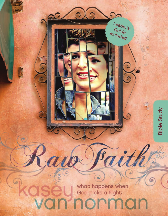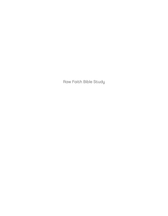Raw Faith Bible Study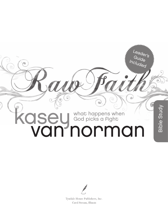# **OSEU** God picks a Fight what happens when<br>God picks a Fight

Ġ

 $\sqrt{2}$ 

 $\sigma$ 

Bible Study

Bible Study

Leader's<br>Guide<br>Included

ö



Tyndale House Publishers, Inc. Carol Stream, Illinois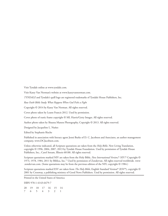Visit Tyndale online at www.tyndale.com.

Visit Kasey Van Norman's website at www.kaseyvannorman.com.

*TYNDALE* and Tyndale's quill logo are registered trademarks of Tyndale House Publishers, Inc.

*Raw Faith Bible Study: What Happens When God Picks a Fight*

Copyright © 2014 by Kasey Van Norman. All rights reserved.

Cover photo taken by Leann Francis 2012. Used by permission.

Cover photo of rustic frame copyright © ML Harris/Getty Images. All rights reserved.

Author photo taken by Shauna Maness Photography, Copyright © 2013. All rights reserved.

Designed by Jacqueline L. Nuñez

Edited by Stephanie Rische

Published in association with literary agent Jenni Burke of D. C. Jacobson and Associates, an author management company, www.DCJacobson.com.

Unless otherwise indicated, all Scripture quotations are taken from the *Holy Bible*, New Living Translation, copyright © 1996, 2004, 2007, 2013 by Tyndale House Foundation. Used by permission of Tyndale House Publishers, Inc., Carol Stream, Illinois 60188. All rights reserved.

Scripture quotations marked NIV are taken from the Holy Bible, *New International Version*, ® *NIV*. ® Copyright © 1973, 1978, 1984, 2011 by Biblica, Inc.™ Used by permission of Zondervan. All rights reserved worldwide. www .zondervan.com. (Some quotations may be from the previous edition of the NIV, copyright © 1984.)

Scripture quotations marked ESV are taken from *The Holy Bible*, English Standard Version® (ESV®), copyright © 2001 by Crossway, a publishing ministry of Good News Publishers. Used by permission. All rights reserved.

Printed in the United States of America

ISBN 978-1-4143-6479-7

20 19 18 17 16 15 14 7 6 5 4 3 2 1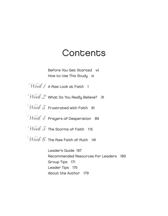### **Contents**

 [Before You Get Started](#page-7-0) vii [How to Use This Study](#page-9-0) ix

Week / [A Raw Look at Faith](#page-13-0) 1

Week 2 What Do You Really Believe? 31

 $\text{Weak } \mathcal{J}$  Frustrated with Faith 61

Week 4 Prayers of Desperation 89

 $\mathcal{W}\acute{eek}$   $\tilde{\mathcal{I}}$  The Storms of Faith 115

Week 6 The Raw Faith of Ruth 141

 Leader's Guide 167 Recommended Resources for Leaders <sup>169</sup> Group Tips <sup>171</sup> Leader Tips <sup>175</sup> About the Author <sup>179</sup>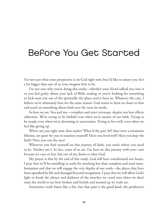### <span id="page-7-0"></span>Before You Get Started

I'm not sure what your perspective is on God right now, but I'd like to assure you: he's a lot bigger than any of us even imagine him to be.

I'm not sure why you're doing this study—whether your friend talked you into it or you feel guilty about your lack of Bible reading or you're looking for something to kick-start you out of the spiritually dry place you've been in. Whatever the case, I believe we're ultimately here for the same reason: God wants to draw us closer to him and teach us something about faith over the next six weeks.

So here we are. You and me—complete and utter screwups, despite our best efforts otherwise. We're trying to be faithful even when we're unsure of our faith. Trying to be steady even when we're drowning in uncertainty. Trying to live well, even when we feel like giving up.

Where are you right now, dear reader? What if the past 365 days were a miniature lifetime, set apart for you to examine yourself? Have you lived well? Have you kept the faith? Have you run the race?

Wherever you find yourself on this journey of faith, you aren't where you need to be. Neither am I. In fact, none of us are. I'm here on this journey with you—not because it's easy or fun, but out of my desire to obey God.

My prayer is that by the end of this study, God will have transformed our hearts. I pray that we'll be unwilling to settle for anything less than complete and total transformation and that we will engage the very depths of our souls—the places that have been squashed by life and damaged beyond recognition. I pray that we will allow God's light to break the silence and darkness of the trenches we crawl into when we don't want the world to see how broken and foolish and messed up we truly are.

Sometimes truth burns like a fire, but that pain is the good kind, the productive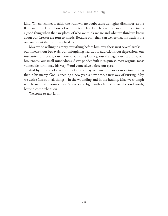kind. When it comes to faith, the truth will no doubt cause us mighty discomfort as the flesh and muscle and bone of our hearts are laid bare before his glory. But it's actually a good thing when the raw places of who we think we are and what we think we know about our Creator are torn to shreds. Because only then can we see that his truth is the one ointment that can truly heal us.

May we be willing to empty everything before him over these next several weeks our illnesses, our betrayals, our unforgiving hearts, our addictions, our depression, our insecurity, our pride, our money, our complacency, our damage, our stupidity, our brokenness, our small-mindedness. As we ponder faith in its purest, most organic, most vulnerable form, may his very Word come alive before our eyes.

And by the end of this season of study, may we raise our voices in victory, seeing that in his mercy, God is opening a new year, a new time, a new way of existing. May we desire Christ in all things—in the wounding and in the healing. May we triumph with hearts that renounce Satan's power and fight with a faith that goes beyond words, beyond comprehension.

Welcome to raw faith.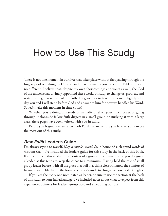### <span id="page-9-0"></span>How to Use This Study

There is not one moment in our lives that takes place without first passing through the fingertips of our almighty Creator, and these moments you'll spend in Bible study are no different. I believe that, despite my own shortcomings and yours as well, the God of the universe has divinely appointed these weeks of study to change us, grow us, and water the dry, cracked soil of our faith. I beg you not to take this moment lightly. One day you and I will stand before God and answer to him for how we handled his Word. So let's make this moment in time count!

Whether you're doing this study as an individual on your lunch break or going through it alongside fellow faith diggers in a small group or studying it with a large class, these pages have been written with you in mind.

Before you begin, here are a few tools I'd like to make sure you have so you can get the most out of this study.

#### Raw Faith Leader's Guide

I'm always saying to myself, *Keep it simple, stupid*. So in honor of such grand words of wisdom (ha!), I've included the leader's guide for this study in the back of this book. If you complete this study in the context of a group, I recommend that you designate a leader, as this tends to keep the chaos to a minimum. Having held the role of small group leader before (with all the grace of a bull in a china closet), I know the comfort of having a warm blanket in the form of a leader's guide to cling to on lonely, dark nights.

If you are the lucky one nominated as leader, be sure to use the section at the back of this study to your full advantage. I've included notes about what to expect from this experience, pointers for leaders, group tips, and scheduling options.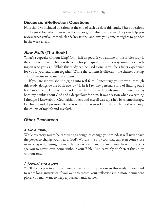#### Discussion/Reflection Questions

Note that I've included questions at the end of each week of this study. These questions are designed for either personal reflection or group discussion time. They can help you review what you've learned, clarify key truths, and give you some thoughts to ponder in the week ahead.

#### Raw Faith (The Book)

What's a cupcake without icing? Only half as good, if you ask me! If this Bible study is the cupcake, then the book is the icing (or perhaps it's the other way around, depending on who you ask). While this study can be used alone, it will be a fuller experience for you if you read them together. While the content is different, the themes overlap and are meant to be used in conjunction.

If you are serious about digging into real faith, I encourage you to work through this study alongside the book *Raw Faith*. In it I tell my personal story of finding out I had cancer, being faced with what faith really means in difficult times, and uncovering both my doubts about God and a deeper love for him. It was a season when everything I thought I knew about God, faith, others, and myself was squashed by chemotherapy, loneliness, and depression. But it was also the season God ultimately used to change the course of my life and my faith.

#### Other Resources

#### A Bible (duh!)

While my story might be captivating enough to change your mind, it will never have the power to change your heart. God's Word is the only tool that can even come close to making real, lasting, eternal changes where it matters—in your heart! I encourage you to never leave home without your Bible. And certainly don't start this study without one.

#### A journal and a pen

You'll need a pen to jot down your answers to the questions in this study. If you tend to write long answers or if you want to record your reflections in a more permanent place, you may want to keep a journal handy as well.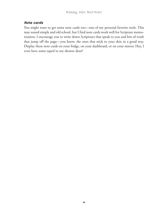#### Note cards

You might want to get some note cards too—one of my personal favorite tools. This may sound simple and old school, but I find note cards work well for Scripture memorization. I encourage you to write down Scriptures that speak to you and bits of truth that jump off the page—you know, the ones that stick to your skin in a good way. Display these note cards on your fridge, on your dashboard, or on your mirror. Hey, I even have some taped to my shower door!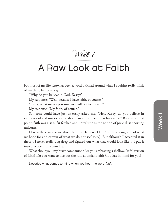Week 1

### <span id="page-13-0"></span>A Raw Look at Faith

For most of my life, *faith* has been a word I kicked around when I couldn't really think of anything better to say.

"Why do you believe in God, Kasey?"

My response: "Well, because I have faith, of course."

"Kasey, what makes you sure you will get to heaven?"

My response: "My faith, of course."

Someone could have just as easily asked me, "Hey, Kasey, do you believe in rainbow-colored unicorns that shoot fairy dust from their backsides?" Because at that point, faith was just as far fetched and unrealistic as the notion of pixie-dust-snorting unicorns.

I knew the classic verse about faith in Hebrews 11:1: "Faith is being sure of what we hope for and certain of what we do not see" (niv). But although I accepted it in theory, I never really dug deep and figured out what that would look like if I put it into practice in my own life.

What about you, my brave companion? Are you embracing a shallow, "safe" version of faith? Do you want to live out the full, abundant faith God has in mind for you?

Describe what comes to mind when you hear the word faith.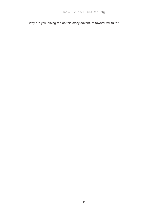Why are you joining me on this crazy adventure toward raw faith?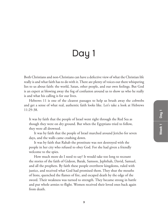# Day 1

Both Christians and non-Christians can have a defective view of what the Christian life really is and what faith has to do with it. There are plenty of voices out there whispering lies to us about faith: the world, Satan, other people, and our own feelings. But God is an expert at blowing away the fog of confusion around us to show us who he really is and what his calling is for our lives.

Hebrews 11 is one of the clearest passages to help us brush away the cobwebs and get a sense of what real, authentic faith looks like. Let's take a look at Hebrews 11:29-38.

It was by faith that the people of Israel went right through the Red Sea as though they were on dry ground. But when the Egyptians tried to follow, they were all drowned.

It was by faith that the people of Israel marched around Jericho for seven days, and the walls came crashing down.

It was by faith that Rahab the prostitute was not destroyed with the people in her city who refused to obey God. For she had given a friendly welcome to the spies.

How much more do I need to say? It would take too long to recount the stories of the faith of Gideon, Barak, Samson, Jephthah, David, Samuel, and all the prophets. By faith these people overthrew kingdoms, ruled with justice, and received what God had promised them. They shut the mouths of lions, quenched the flames of fire, and escaped death by the edge of the sword. Their weakness was turned to strength. They became strong in battle and put whole armies to flight. Women received their loved ones back again from death.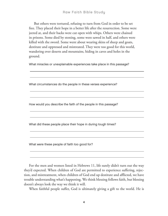But others were tortured, refusing to turn from God in order to be set free. They placed their hope in a better life after the resurrection. Some were jeered at, and their backs were cut open with whips. Others were chained in prisons. Some died by stoning, some were sawed in half, and others were killed with the sword. Some went about wearing skins of sheep and goats, destitute and oppressed and mistreated. They were too good for this world, wandering over deserts and mountains, hiding in caves and holes in the ground.

What miracles or unexplainable experiences take place in this passage?

What circumstances do the people in these verses experience? How would you describe the faith of the people in this passage? What did these people place their hope in during tough times? What were these people of faith too good for?

For the men and women listed in Hebrews 11, life surely didn't turn out the way they'd expected. When children of God are permitted to experience suffering, rejection, and mistreatment, when children of God end up destitute and afflicted, we have trouble understanding what's happening. We think blessing follows faith, but blessing doesn't always look the way we think it will.

When faithful people suffer, God is ultimately giving a gift to the world. He is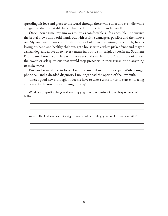spreading his love and grace to the world through those who suffer and even die while clinging to the unshakable belief that the Lord is better than life itself.

Once upon a time, my aim was to live as comfortable a life as possible—to survive the brutal blows this world hands out with as little damage as possible and then move on. My goal was to wade in the shallow pool of contentment—go to church, have a loving husband and healthy children, get a house with a white picket fence and maybe a small dog, and above all to never venture far outside my religious box in my Southern Baptist small town, complete with sweet tea and steeples. I didn't want to look under the covers or ask questions that would stop preachers in their tracks or do anything to make waves.

But God wanted me to look closer. He invited me to dig deeper. With a single phone call and a dreaded diagnosis, I no longer had the option of shallow faith.

There's good news, though: it doesn't have to take a crisis for us to start embracing authentic faith. You can start living it today!

What is compelling to you about digging in and experiencing a deeper level of faith?

As you think about your life right now, what is holding you back from raw faith?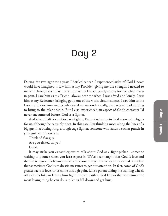## Day 2

During the two agonizing years I battled cancer, I experienced sides of God I never would have imagined. I saw him as my Provider, giving me the strength I needed to make it through each day. I saw him as my Father, gently caring for me when I was in pain. I saw him as my Friend, always near me when I was afraid and lonely. I saw him as my Redeemer, bringing good out of the worst circumstances. I saw him as the Lover of my soul—someone who loved me unconditionally, even when I had nothing to bring to the relationship. But I also experienced an aspect of God's character I'd never encountered before: God as a fighter.

And when I talk about God as a fighter, I'm not referring to God as one who fights for us, although he certainly does. In this case, I'm thinking more along the lines of a big guy in a boxing ring, a tough cage fighter, someone who lands a sucker punch in your gut out of nowhere.

Think of *that* guy. Are you ticked off yet? Good.

It may strike you as sacrilegious to talk about God as a fight picker—someone waiting to pounce when you least expect it. We've been taught that God is love and that he is a good Father—and he is all those things. But Scripture also makes it clear that sometimes God uses drastic measures to get our attention. In fact, some of God's greatest acts of love for us come through pain. Like a parent taking the training wheels off a child's bike or letting him fight his own battles, God knows that sometimes the most loving thing he can do is to let us fall down and get hurt.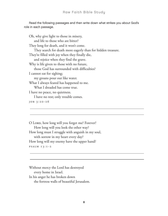Read the following passages and then write down what strikes you about God's role in each passage.

Oh, why give light to those in misery, and life to those who are bitter? They long for death, and it won't come. They search for death more eagerly than for hidden treasure. They're filled with joy when they finally die, and rejoice when they find the grave. Why is life given to those with no future, those God has surrounded with difficulties? I cannot eat for sighing; my groans pour out like water. What I always feared has happened to me. What I dreaded has come true. I have no peace, no quietness. I have no rest; only trouble comes. Job 3:20-26

O LORD, how long will you forget me? Forever? How long will you look the other way? How long must I struggle with anguish in my soul, with sorrow in my heart every day? How long will my enemy have the upper hand? Psalm 13:1-2

Without mercy the Lord has destroyed every home in Israel. In his anger he has broken down the fortress walls of beautiful Jerusalem.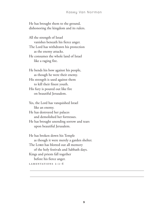He has brought them to the ground, dishonoring the kingdom and its rulers.

All the strength of Israel vanishes beneath his fierce anger. The Lord has withdrawn his protection as the enemy attacks. He consumes the whole land of Israel like a raging fire.

He bends his bow against his people, as though he were their enemy. His strength is used against them to kill their finest youth. His fury is poured out like fire on beautiful Jerusalem.

Yes, the Lord has vanquished Israel like an enemy.

He has destroyed her palaces and demolished her fortresses.

He has brought unending sorrow and tears upon beautiful Jerusalem.

He has broken down his Temple as though it were merely a garden shelter. The Lorp has blotted out all memory of the holy festivals and Sabbath days. Kings and priests fall together before his fierce anger. LAMENTATIONS 2:2-6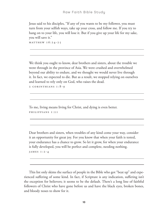Jesus said to his disciples, "If any of you wants to be my follower, you must turn from your selfish ways, take up your cross, and follow me. If you try to hang on to your life, you will lose it. But if you give up your life for my sake, you will save it."

 $MATTHEW$   $16:24-25$ 

We think you ought to know, dear brothers and sisters, about the trouble we went through in the province of Asia. We were crushed and overwhelmed beyond our ability to endure, and we thought we would never live through it. In fact, we expected to die. But as a result, we stopped relying on ourselves and learned to rely only on God, who raises the dead.

2 Corinthians 1:8-9

To me, living means living for Christ, and dying is even better. Phili pp ians 1:21

Dear brothers and sisters, when troubles of any kind come your way, consider it an opportunity for great joy. For you know that when your faith is tested, your endurance has a chance to grow. So let it grow, for when your endurance is fully developed, you will be perfect and complete, needing nothing. James 1:2-4

This list only skims the surface of people in the Bible who got "beat up" and experienced suffering of some kind. In fact, if Scripture is any indication, suffering isn't the exception for believers; it seems to be the default. There's a long line of faithful followers of Christ who have gone before us and have the black eyes, broken bones, and bloody noses to show for it.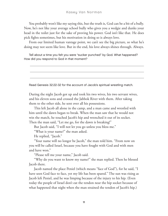You probably won't like my saying this, but the truth is, God can be a bit of a bully. Now, he's not like your average school bully who gives you a wedgie and dunks your head in the toilet just for the sake of proving his power. God isn't like that. He does pick fights sometimes, but his motivation in doing so is always love.

From our limited human vantage point, we can't see the big picture, so what he's doing may not seem like love. But in the end, his love always shines through. Always.

Tell about a time you felt you were "sucker punched" by God. What happened? How did you respond to God in that moment?

Read Genesis 32:22-32 for the account of Jacob's spiritual wrestling match.

During the night Jacob got up and took his two wives, his two servant wives, and his eleven sons and crossed the Jabbok River with them. After taking them to the other side, he sent over all his possessions.

This left Jacob all alone in the camp, and a man came and wrestled with him until the dawn began to break. When the man saw that he would not win the match, he touched Jacob's hip and wrenched it out of its socket. Then the man said, "Let me go, for the dawn is breaking!"

But Jacob said, "I will not let you go unless you bless me."

"What is your name?" the man asked.

He replied, "Jacob."

"Your name will no longer be Jacob," the man told him. "From now on you will be called Israel, because you have fought with God and with men and have won."

"Please tell me your name," Jacob said.

"Why do you want to know my name?" the man replied. Then he blessed Jacob there.

Jacob named the place Peniel (which means "face of God"), for he said, "I have seen God face to face, yet my life has been spared." The sun was rising as Jacob left Peniel, and he was limping because of the injury to his hip. (Even today the people of Israel don't eat the tendon near the hip socket because of what happened that night when the man strained the tendon of Jacob's hip.)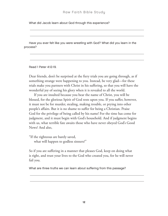What did Jacob learn about God through this experience?

Have you ever felt like you were wrestling with God? What did you learn in the process?

Read 1 Peter 4:12-19.

Dear friends, don't be surprised at the fiery trials you are going through, as if something strange were happening to you. Instead, be very glad—for these trials make you partners with Christ in his suffering, so that you will have the wonderful joy of seeing his glory when it is revealed to all the world.

If you are insulted because you bear the name of Christ, you will be blessed, for the glorious Spirit of God rests upon you. If you suffer, however, it must not be for murder, stealing, making trouble, or prying into other people's affairs. But it is no shame to suffer for being a Christian. Praise God for the privilege of being called by his name! For the time has come for judgment, and it must begin with God's household. And if judgment begins with us, what terrible fate awaits those who have never obeyed God's Good News? And also,

"If the righteous are barely saved, what will happen to godless sinners?"

So if you are suffering in a manner that pleases God, keep on doing what is right, and trust your lives to the God who created you, for he will never fail you.

What are three truths we can learn about suffering from this passage?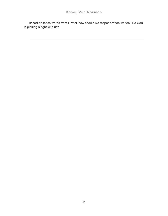Based on these words from 1 Peter, how should we respond when we feel like God is picking a fight with us?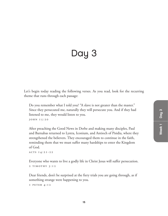# Day 3

Let's begin today reading the following verses. As you read, look for the recurring theme that runs through each passage:

Do you remember what I told you? "A slave is not greater than the master." Since they persecuted me, naturally they will persecute you. And if they had listened to me, they would listen to you. John 15:20

After preaching the Good News in Derbe and making many disciples, Paul and Barnabas returned to Lystra, Iconium, and Antioch of Pisidia, where they strengthened the believers. They encouraged them to continue in the faith, reminding them that we must suffer many hardships to enter the Kingdom of God.

```
Ac ts 14:21-22
```
Everyone who wants to live a godly life in Christ Jesus will suffer persecution. 2 TIMOTHY 3:12

Dear friends, don't be surprised at the fiery trials you are going through, as if something strange were happening to you.

```
1 Peter 4:12
```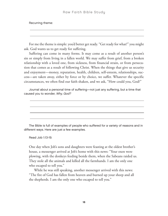Recurring theme:

For me the theme is simple: you'd better get ready. "Get ready for what?" you might ask. God wants us to get ready for suffering.

Suffering can come in many forms. It may come as a result of another person's sin or simply from living in a fallen world. We may suffer from grief, from a broken relationship with a loved one, from sickness, from financial strain, or from persecution that comes as a result of following Christ. When the things that give us security and enjoyment—money, reputation, health, children, self-esteem, relationships, success—are taken away, either by force or by choice, we suffer. Whatever the specific circumstances, we often find our faith shaken, and we ask, "How could you, God?"

Journal about a personal time of suffering—not just any suffering, but a time that caused you to wonder, Why, God?



The Bible is full of examples of people who suffered for a variety of reasons and in different ways. Here are just a few examples.

Read Job 1:13-19.

One day when Job's sons and daughters were feasting at the oldest brother's house, a messenger arrived at Job's home with this news: "Your oxen were plowing, with the donkeys feeding beside them, when the Sabeans raided us. They stole all the animals and killed all the farmhands. I am the only one who escaped to tell you."

While he was still speaking, another messenger arrived with this news: "The fire of God has fallen from heaven and burned up your sheep and all the shepherds. I am the only one who escaped to tell you."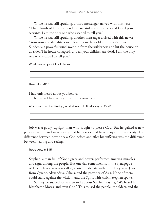While he was still speaking, a third messenger arrived with this news: "Three bands of Chaldean raiders have stolen your camels and killed your servants. I am the only one who escaped to tell you."

While he was still speaking, another messenger arrived with this news: "Your sons and daughters were feasting in their oldest brother's home. Suddenly, a powerful wind swept in from the wilderness and hit the house on all sides. The house collapsed, and all your children are dead. I am the only one who escaped to tell you."

What hardships did Job face?

Read Job 42:5.

I had only heard about you before,

but now I have seen you with my own eyes.

After months of suffering, what does Job finally say to God?

Job was a godly, upright man who sought to please God. But he gained a new perspective on God in adversity that he never could have grasped in prosperity. The difference between how he saw God before and after his suffering was the difference between hearing and seeing.

#### Read Acts 6:8-15.

Stephen, a man full of God's grace and power, performed amazing miracles and signs among the people. But one day some men from the Synagogue of Freed Slaves, as it was called, started to debate with him. They were Jews from Cyrene, Alexandria, Cilicia, and the province of Asia. None of them could stand against the wisdom and the Spirit with which Stephen spoke.

So they persuaded some men to lie about Stephen, saying, "We heard him blaspheme Moses, and even God." This roused the people, the elders, and the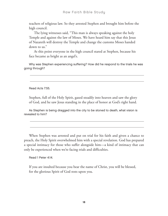teachers of religious law. So they arrested Stephen and brought him before the high council.

The lying witnesses said, "This man is always speaking against the holy Temple and against the law of Moses. We have heard him say that this Jesus of Nazareth will destroy the Temple and change the customs Moses handed down to us."

At this point everyone in the high council stared at Stephen, because his face became as bright as an angel's.

Why was Stephen experiencing suffering? How did he respond to the trials he was going through?

Read Acts 7:55.

Stephen, full of the Holy Spirit, gazed steadily into heaven and saw the glory of God, and he saw Jesus standing in the place of honor at God's right hand.

As Stephen is being dragged into the city to be stoned to death, what vision is revealed to him?

When Stephen was arrested and put on trial for his faith and given a chance to preach, the Holy Spirit overwhelmed him with a special revelation. God has prepared a special intimacy for those who suffer alongside him—a kind of intimacy that can only be experienced when we're facing trials and difficulties.

Read 1 Peter 4:14.

If you are insulted because you bear the name of Christ, you will be blessed, for the glorious Spirit of God rests upon you.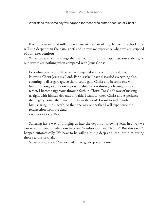#### Kasey Van Norman

What does this verse say will happen for those who suffer because of Christ?

If we understand that suffering is an inevitable part of life, then our love for Christ will run deeper than the pain, grief, and sorrow we experience when we are stripped of our lesser comforts.

Why? Because all the things that we count on for our happiness, our stability, or our reward are nothing when compared with Jesus Christ.

Everything else is worthless when compared with the infinite value of knowing Christ Jesus my Lord. For his sake I have discarded everything else, counting it all as garbage, so that I could gain Christ and become one with him. I no longer count on my own righteousness through obeying the law; rather, I become righteous through faith in Christ. For God's way of making us right with himself depends on faith. I want to know Christ and experience the mighty power that raised him from the dead. I want to suffer with him, sharing in his death, so that one way or another I will experience the resurrection from the dead!

PHILIPPIANS 3:8-II

Suffering has a way of bringing us into the depths of knowing Jesus in a way we can never experience when our lives are "comfortable" and "happy." But this doesn't happen automatically. We have to be willing to dig deep and lean into him during those seasons of trials.

So what about you? Are you willing to go deep with Jesus?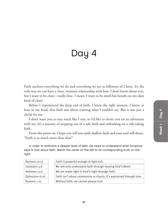# Day 4

Faith anchors everything we do and everything we are as followers of Christ. It's the only way we can have a close, intimate relationship with him. I don't know about you, but I want to be close—*really* close. I mean, I want to be smell-his-breath-on-my-skin kind of close!

Before I experienced the deep end of faith, I knew the right answers. I knew, at least in my head, that faith was about trusting what I couldn't see. But it was just a cliché for me.

I don't want you to stay stuck like I was, so I'd like to invite you on an adventure with me. It's a journey of stepping out of a safe faith and embarking on a risk-taking faith.

From this point on, I hope you will toss aside shallow faith and your soul will shout, "Faith is so much more than that!"

In order to embrace a deeper level of faith, we need to understand what Scripture says is true about faith. Match the verse on the left to its corresponding truth on the right.

| Romans 10:17   | Faith is powerful enough to fight evil.                               |
|----------------|-----------------------------------------------------------------------|
| Galatians 5:6  | We will only understand faith through hearing God's Word.             |
| Hebrews 11:6   | We are made right in God's sight through faith.                       |
| Ephesians 6:16 | Faith isn't about ceremonies or rituals; it's expressed through love. |
| Romans 1:17    | Without faith, we cannot please God.                                  |
|                |                                                                       |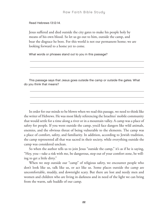Read Hebrews 13:12-14.

Jesus suffered and died outside the city gates to make his people holy by means of his own blood. So let us go out to him, outside the camp, and bear the disgrace he bore. For this world is not our permanent home; we are looking forward to a home yet to come.

What words or phrases stand out to you in this passage?

This passage says that Jesus goes outside the camp or outside the gates. What do you think that means?

In order for our minds to be blown when we read this passage, we need to think like the writer of Hebrews. He was most likely referencing the Israelites' mobile community that would settle for a time along a river or in a mountain valley. A camp was a place of safety for people. If you went outside the camp, you'd face dangers like wild animals, enemies, and the obvious threat of being vulnerable to the elements. The camp was a place of comfort, safety, and familiarity. In addition, according to Jewish tradition, the camp represented all that was sacred in their society, while everything outside the camp was considered unclean.

So when the author tells us to join Jesus "outside the camp," it's as if he is saying, "Hey, you—take a risk with me, be dangerous, step out of your comfort zone, be willing to get a little dirty."

When we step outside our "camp" of religious safety, we encounter people who don't look like us, talk like us, or act like us. Some places outside the camp are uncomfortable, muddy, and downright scary. But there are lost and needy men and women and children who are living in darkness and in need of the light we can bring from the warm, safe huddle of our camp.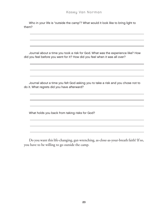Who in your life is "outside the camp"? What would it look like to bring light to them?

Journal about a time you took a risk for God. What was the experience like? How did you feel before you went for it? How did you feel when it was all over?

Journal about a time you felt God asking you to take a risk and you chose not to do it. What regrets did you have afterward?

What holds you back from taking risks for God?

Do you want this life-changing, gut-wrenching, as-close-as-your-breath faith? If so, you have to be willing to go outside the camp.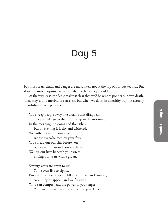### Day 5

For most of us, death and danger are most likely not at the top of our bucket lists. But if we dig into Scripture, we realize that perhaps they should be.

At the very least, the Bible makes it clear that we'd be wise to ponder our own death. That may sound morbid or senseless, but when we do so in a healthy way, it's actually a faith-building experience.

You sweep people away like dreams that disappear. They are like grass that springs up in the morning. In the morning it blooms and flourishes, but by evening it is dry and withered. We wither beneath your anger; we are overwhelmed by your fury. You spread out our sins before you our secret sins—and you see them all. We live our lives beneath your wrath, ending our years with a groan.

Seventy years are given to us!

Some even live to eighty.

But even the best years are filled with pain and trouble; soon they disappear, and we fly away.

Who can comprehend the power of your anger?

Your wrath is as awesome as the fear you deserve.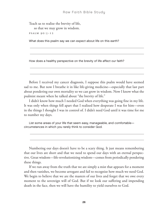Teach us to realize the brevity of life,

so that we may grow in wisdom.

Psalm 90:5-12

What does this psalm say we can expect about life on this earth?

How does a healthy perspective on the brevity of life affect our faith?

Before I received my cancer diagnosis, I suppose this psalm would have seemed sad to me. But now I breathe it in like life-giving medicine—especially that last part about pondering our own mortality so we can grow in wisdom. Now I know what the psalmist meant when he talked about "the brevity of life."

I didn't know how much I needed God when everything was going fine in my life. It was only when things fell apart that I realized how desperate I was for him—even in the things I thought I was in control of. I didn't need God until it was time for me to number my days.

List some areas of your life that seem easy, manageable, and comfortable circumstances in which you rarely think to consider God.

Numbering our days doesn't have to be a scary thing. It just means remembering that our lives are short and that we need to spend our days with an eternal perspective. Great wisdom—life-revolutionizing wisdom—comes from periodically pondering these things.

If we run away from the truth that we are simply a mist that appears for a moment and then vanishes, we become arrogant and fail to recognize how much we need God. We begin to believe that we are the masters of our lives and forget that we owe every moment to the sovereign will of God. But if we look our suffering and impending death in the face, then we will have the humility to yield ourselves to God.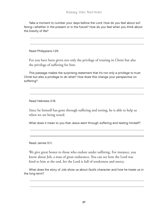Take a moment to number your days before the Lord. How do you feel about suffering—whether in the present or in the future? How do you feel when you think about the brevity of life?

Read Philippians 1:29.

For you have been given not only the privilege of trusting in Christ but also the privilege of suffering for him.

This passage makes the surprising statement that it's not only a privilege to trust Christ but also a privilege to do what? How does this change your perspective on suffering?

Read Hebrews 2:18.

Since he himself has gone through suffering and testing, he is able to help us when we are being tested.

What does it mean to you that Jesus went through suffering and testing himself?

Read James 5:11.

We give great honor to those who endure under suffering. For instance, you know about Job, a man of great endurance. You can see how the Lord was kind to him at the end, for the Lord is full of tenderness and mercy.

What does the story of Job show us about God's character and how he treats us in the long term?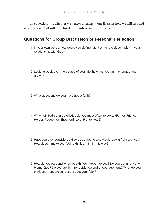The question isn't whether we'll face suffering in our lives; it's how we will respond when we do. Will suffering break our faith or make it stronger?

#### Questions for Group Discussion or Personal Reflection

- 1. In your own words, how would you define faith? What role does it play in your relationship with God?
- 2. Looking back over the course of your life, how has your faith changed and grown?

3. What questions do you have about faith?

- 4. Which of God's characteristics do you most often relate to (Father, Friend, Helper, Redeemer, Shepherd, Lord, Fighter, etc.)?
- 5. Have you ever considered God as someone who would pick a fight with you? How does it make you feel to think of him in this way?

6. How do you respond when bad things happen to you? Do you get angry and blame God? Do you ask him for guidance and encouragement? What do you think your responses reveal about your faith?